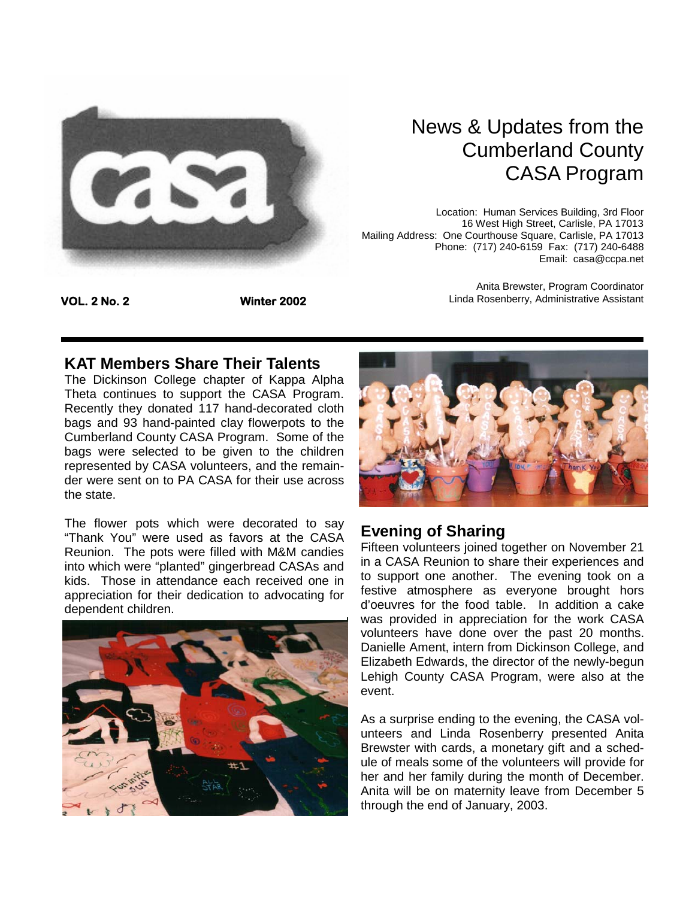

# News & Updates from the Cumberland County CASA Program

Anita Brewster, Program Coordinator Linda Rosenberry, Administrative Assistant

Location: Human Services Building, 3rd Floor 16 West High Street, Carlisle, PA 17013 Mailing Address: One Courthouse Square, Carlisle, PA 17013 Phone: (717) 240-6159 Fax: (717) 240-6488 Email: casa@ccpa.net

**VOL. 2 No. 2 Winter 2002** 

### **KAT Members Share Their Talents**

The Dickinson College chapter of Kappa Alpha Theta continues to support the CASA Program. Recently they donated 117 hand-decorated cloth bags and 93 hand-painted clay flowerpots to the Cumberland County CASA Program. Some of the bags were selected to be given to the children represented by CASA volunteers, and the remainder were sent on to PA CASA for their use across the state.

The flower pots which were decorated to say "Thank You" were used as favors at the CASA Reunion. The pots were filled with M&M candies into which were "planted" gingerbread CASAs and kids. Those in attendance each received one in appreciation for their dedication to advocating for dependent children.





### **Evening of Sharing**

Fifteen volunteers joined together on November 21 in a CASA Reunion to share their experiences and to support one another. The evening took on a festive atmosphere as everyone brought hors d'oeuvres for the food table. In addition a cake was provided in appreciation for the work CASA volunteers have done over the past 20 months. Danielle Ament, intern from Dickinson College, and Elizabeth Edwards, the director of the newly-begun Lehigh County CASA Program, were also at the event.

As a surprise ending to the evening, the CASA volunteers and Linda Rosenberry presented Anita Brewster with cards, a monetary gift and a schedule of meals some of the volunteers will provide for her and her family during the month of December. Anita will be on maternity leave from December 5 through the end of January, 2003.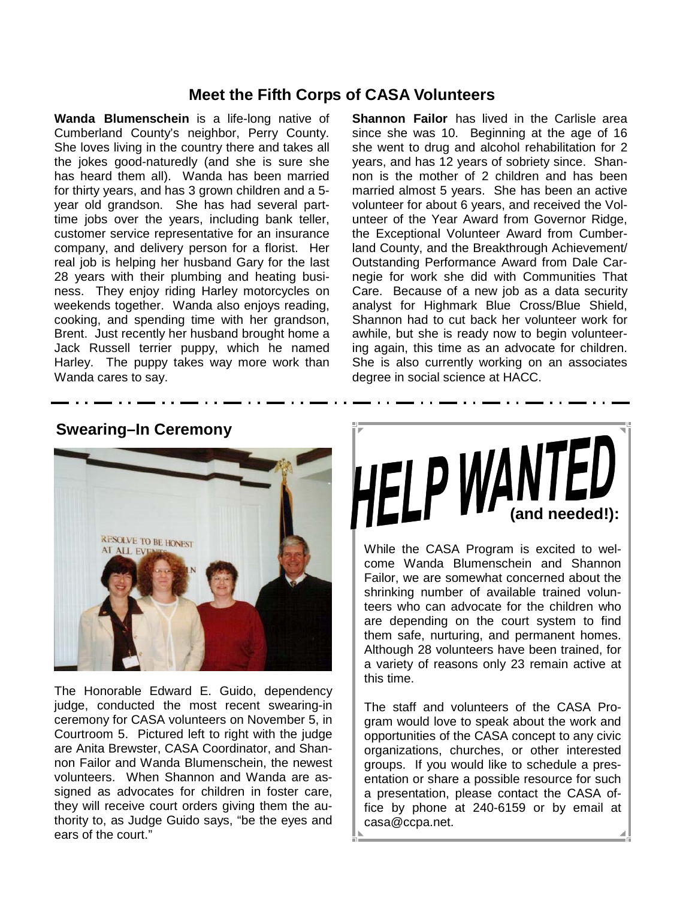## **Meet the Fifth Corps of CASA Volunteers**

**Wanda Blumenschein** is a life-long native of Cumberland County's neighbor, Perry County. She loves living in the country there and takes all the jokes good-naturedly (and she is sure she has heard them all). Wanda has been married for thirty years, and has 3 grown children and a 5 year old grandson. She has had several parttime jobs over the years, including bank teller, customer service representative for an insurance company, and delivery person for a florist. Her real job is helping her husband Gary for the last 28 years with their plumbing and heating business. They enjoy riding Harley motorcycles on weekends together. Wanda also enjoys reading, cooking, and spending time with her grandson, Brent. Just recently her husband brought home a Jack Russell terrier puppy, which he named Harley. The puppy takes way more work than Wanda cares to say.

**Shannon Failor** has lived in the Carlisle area since she was 10. Beginning at the age of 16 she went to drug and alcohol rehabilitation for 2 years, and has 12 years of sobriety since. Shannon is the mother of 2 children and has been married almost 5 years. She has been an active volunteer for about 6 years, and received the Volunteer of the Year Award from Governor Ridge, the Exceptional Volunteer Award from Cumberland County, and the Breakthrough Achievement/ Outstanding Performance Award from Dale Carnegie for work she did with Communities That Care. Because of a new job as a data security analyst for Highmark Blue Cross/Blue Shield, Shannon had to cut back her volunteer work for awhile, but she is ready now to begin volunteering again, this time as an advocate for children. She is also currently working on an associates degree in social science at HACC.



## **Swearing–In Ceremony**

The Honorable Edward E. Guido, dependency judge, conducted the most recent swearing-in ceremony for CASA volunteers on November 5, in Courtroom 5. Pictured left to right with the judge are Anita Brewster, CASA Coordinator, and Shannon Failor and Wanda Blumenschein, the newest volunteers. When Shannon and Wanda are assigned as advocates for children in foster care, they will receive court orders giving them the authority to, as Judge Guido says, "be the eyes and ears of the court."



While the CASA Program is excited to welcome Wanda Blumenschein and Shannon Failor, we are somewhat concerned about the shrinking number of available trained volunteers who can advocate for the children who are depending on the court system to find them safe, nurturing, and permanent homes. Although 28 volunteers have been trained, for a variety of reasons only 23 remain active at this time.

The staff and volunteers of the CASA Program would love to speak about the work and opportunities of the CASA concept to any civic organizations, churches, or other interested groups. If you would like to schedule a presentation or share a possible resource for such a presentation, please contact the CASA office by phone at 240-6159 or by email at casa@ccpa.net.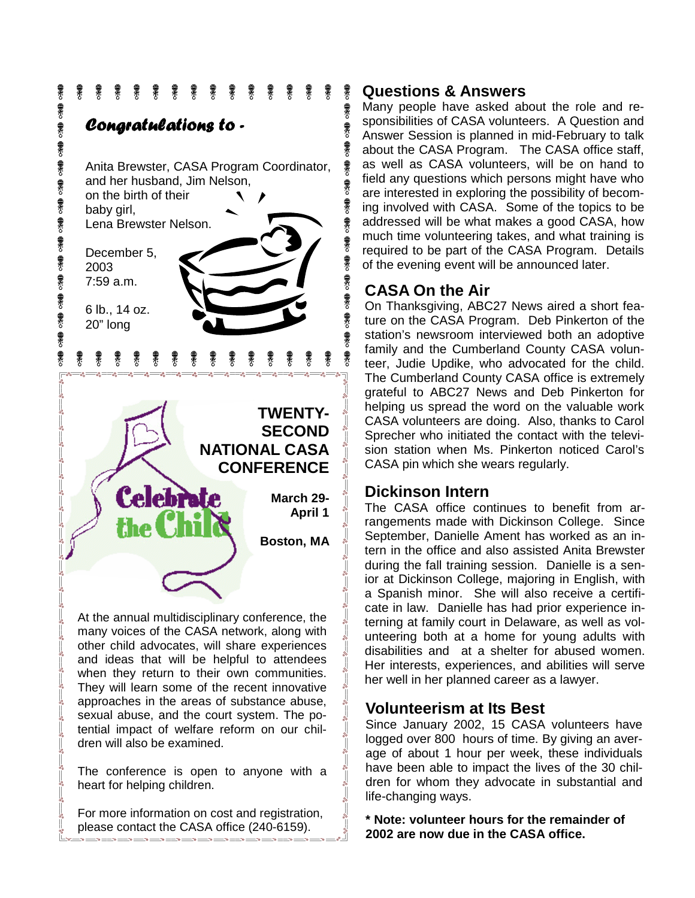

many voices of the CASA network, along with other child advocates, will share experiences and ideas that will be helpful to attendees when they return to their own communities. They will learn some of the recent innovative approaches in the areas of substance abuse, sexual abuse, and the court system. The potential impact of welfare reform on our children will also be examined.

The conference is open to anyone with a heart for helping children.

For more information on cost and registration, please contact the CASA office (240-6159).

### **Questions & Answers**

霥

象

象

霥

最永

象 象

衆

最来る

象

最来り

秉

象

Many people have asked about the role and responsibilities of CASA volunteers. A Question and Answer Session is planned in mid-February to talk about the CASA Program. The CASA office staff, as well as CASA volunteers, will be on hand to field any questions which persons might have who are interested in exploring the possibility of becoming involved with CASA. Some of the topics to be addressed will be what makes a good CASA, how much time volunteering takes, and what training is required to be part of the CASA Program. Details of the evening event will be announced later.

## **CASA On the Air**

On Thanksgiving, ABC27 News aired a short feature on the CASA Program. Deb Pinkerton of the station's newsroom interviewed both an adoptive family and the Cumberland County CASA volunteer, Judie Updike, who advocated for the child. The Cumberland County CASA office is extremely grateful to ABC27 News and Deb Pinkerton for helping us spread the word on the valuable work CASA volunteers are doing. Also, thanks to Carol Sprecher who initiated the contact with the television station when Ms. Pinkerton noticed Carol's CASA pin which she wears regularly.

### **Dickinson Intern**

The CASA office continues to benefit from arrangements made with Dickinson College. Since September, Danielle Ament has worked as an intern in the office and also assisted Anita Brewster during the fall training session. Danielle is a senior at Dickinson College, majoring in English, with a Spanish minor. She will also receive a certificate in law. Danielle has had prior experience interning at family court in Delaware, as well as volunteering both at a home for young adults with disabilities and at a shelter for abused women. Her interests, experiences, and abilities will serve her well in her planned career as a lawyer.

## **Volunteerism at Its Best**

Since January 2002, 15 CASA volunteers have logged over 800 hours of time. By giving an average of about 1 hour per week, these individuals have been able to impact the lives of the 30 children for whom they advocate in substantial and life-changing ways.

**\* Note: volunteer hours for the remainder of 2002 are now due in the CASA office.**